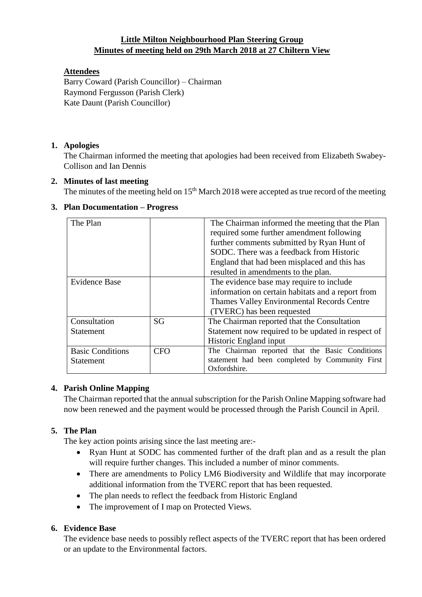# **Little Milton Neighbourhood Plan Steering Group Minutes of meeting held on 29th March 2018 at 27 Chiltern View**

# **Attendees**

Barry Coward (Parish Councillor) – Chairman Raymond Fergusson (Parish Clerk) Kate Daunt (Parish Councillor)

# **1. Apologies**

The Chairman informed the meeting that apologies had been received from Elizabeth Swabey-Collison and Ian Dennis

## **2. Minutes of last meeting**

The minutes of the meeting held on  $15<sup>th</sup>$  March 2018 were accepted as true record of the meeting

## **3. Plan Documentation – Progress**

| The Plan                                    |            | The Chairman informed the meeting that the Plan<br>required some further amendment following<br>further comments submitted by Ryan Hunt of<br>SODC. There was a feedback from Historic<br>England that had been misplaced and this has<br>resulted in amendments to the plan. |
|---------------------------------------------|------------|-------------------------------------------------------------------------------------------------------------------------------------------------------------------------------------------------------------------------------------------------------------------------------|
| <b>Evidence Base</b>                        |            | The evidence base may require to include<br>information on certain habitats and a report from<br>Thames Valley Environmental Records Centre<br>(TVERC) has been requested                                                                                                     |
| Consultation<br><b>Statement</b>            | SG         | The Chairman reported that the Consultation<br>Statement now required to be updated in respect of<br>Historic England input                                                                                                                                                   |
| <b>Basic Conditions</b><br><b>Statement</b> | <b>CFO</b> | The Chairman reported that the Basic Conditions<br>statement had been completed by Community First<br>Oxfordshire.                                                                                                                                                            |

## **4. Parish Online Mapping**

The Chairman reported that the annual subscription for the Parish Online Mapping software had now been renewed and the payment would be processed through the Parish Council in April.

## **5. The Plan**

The key action points arising since the last meeting are:-

- Ryan Hunt at SODC has commented further of the draft plan and as a result the plan will require further changes. This included a number of minor comments.
- There are amendments to Policy LM6 Biodiversity and Wildlife that may incorporate additional information from the TVERC report that has been requested.
- The plan needs to reflect the feedback from Historic England
- The improvement of I map on Protected Views.

## **6. Evidence Base**

The evidence base needs to possibly reflect aspects of the TVERC report that has been ordered or an update to the Environmental factors.